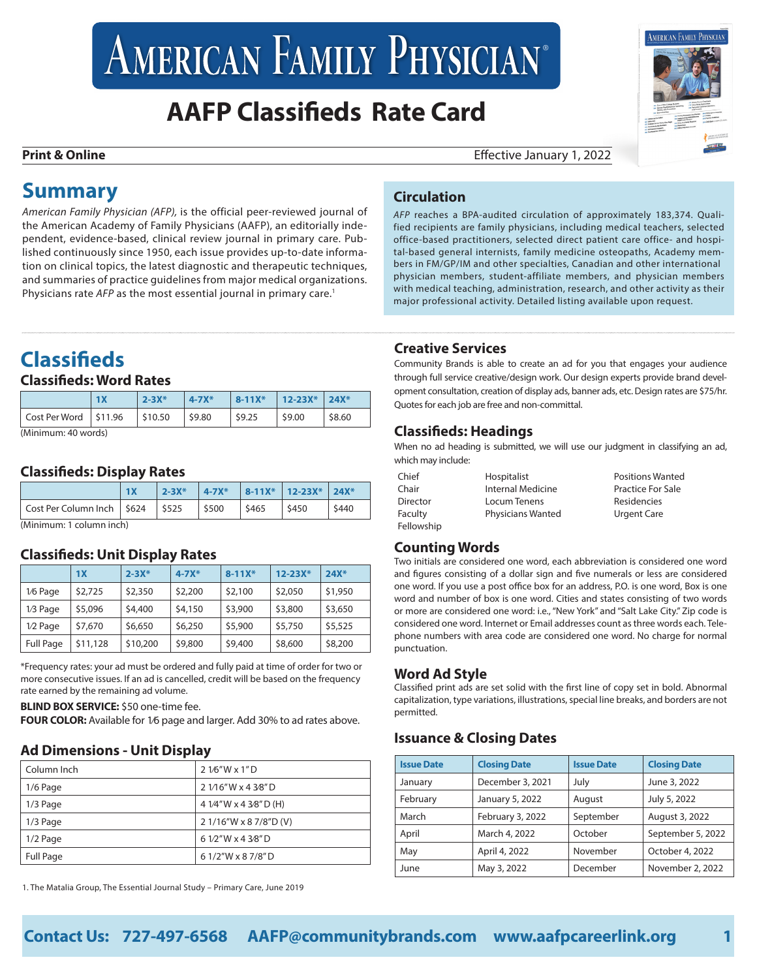# AMERICAN FAMILY PHYSICIAN<sup>®</sup>

# **AAFP Classifieds Rate Card**



**Print & Online Print & Online Effective January 1, 2022** 

*AFP* reaches a BPA-audited circulation of approximately 183,374. Qualified recipients are family physicians, including medical teachers, selected office-based practitioners, selected direct patient care office- and hospital-based general internists, family medicine osteopaths, Academy members in FM/GP/IM and other specialties, Canadian and other international physician members, student-affiliate members, and physician members with medical teaching, administration, research, and other activity as their major professional activity. Detailed listing available upon request.

# **Summary**

*American Family Physician (AFP),* is the official peer-reviewed journal of the American Academy of Family Physicians (AAFP), an editorially independent, evidence-based, clinical review journal in primary care. Published continuously since 1950, each issue provides up-to-date information on clinical topics, the latest diagnostic and therapeutic techniques, and summaries of practice guidelines from major medical organizations. Physicians rate *AFP* as the most essential journal in primary care.<sup>1</sup>

# **Classifieds**

#### **Classifieds: Word Rates**

|                                       | 1X | $2 - 3X^*$ | $4 - 7X^*$ | $ 8 - 11X^* $ | $12 - 23X^*$ | $24X*$ |
|---------------------------------------|----|------------|------------|---------------|--------------|--------|
| $\vert$ Cost Per Word $\vert$ \$11.96 |    | \$10.50    | S9.80      | 59.25         | \$9.00       | \$8.60 |
| (Minimum, 10modc)                     |    |            |            |               |              |        |

(Minimum: 40 words)

#### **Classifieds: Display Rates**

|                              |  | $2 - 3X^*$ | $4 - 7X^*$       |      | $ 8-11X^* 12-23X^* 24X^* $ |       |
|------------------------------|--|------------|------------------|------|----------------------------|-------|
| Cost Per Column Inch   \$624 |  | \$525      | $\frac{1}{5500}$ | S465 | \$450                      | \$440 |
| $(Minimum: 1$ column inch)   |  |            |                  |      |                            |       |

(Minimum: 1 column inch)

#### **Classifieds: Unit Display Rates**

|           | 1X       | $2 - 3X^*$ | $4 - 7X^*$ | $8 - 11X^*$ | $12 - 23X^*$ | $24X*$  |
|-----------|----------|------------|------------|-------------|--------------|---------|
| 1/6 Page  | \$2,725  | \$2,350    | \$2,200    | \$2,100     | \$2,050      | \$1,950 |
| 1/3 Page  | \$5,096  | \$4,400    | \$4,150    | \$3,900     | \$3,800      | \$3,650 |
| 1/2 Page  | \$7,670  | \$6,650    | \$6,250    | \$5,900     | \$5,750      | \$5,525 |
| Full Page | \$11,128 | \$10,200   | \$9,800    | \$9,400     | \$8,600      | \$8,200 |

\*Frequency rates: your ad must be ordered and fully paid at time of order for two or more consecutive issues. If an ad is cancelled, credit will be based on the frequency rate earned by the remaining ad volume.

**BLIND BOX SERVICE:** \$50 one-time fee.

**FOUR COLOR:** Available for 1⁄6 page and larger. Add 30% to ad rates above.

#### **Ad Dimensions - Unit Display**

| Column Inch      | $21/6''$ W x $1''$ D   |
|------------------|------------------------|
| $1/6$ Page       | 2 1/16"W x 4 3/8"D     |
| $1/3$ Page       | 4 1/4"W x 4 3/8"D (H)  |
| $1/3$ Page       | 2 1/16"W x 8 7/8"D (V) |
| $1/2$ Page       | 6 1/2"W x 4 3/8"D      |
| <b>Full Page</b> | 61/2"W x 87/8"D        |

1. The Matalia Group, The Essential Journal Study – Primary Care, June 2019

## **Creative Services**

**Circulation**

Community Brands is able to create an ad for you that engages your audience through full service creative/design work. Our design experts provide brand development consultation, creation of display ads, banner ads, etc. Design rates are \$75/hr. Quotes for each job are free and non-committal.

#### **Classifieds: Headings**

When no ad heading is submitted, we will use our judgment in classifying an ad, which may include:

| Chief      | Hospitalist              | <b>Positions Wanted</b>  |
|------------|--------------------------|--------------------------|
| Chair      | Internal Medicine        | <b>Practice For Sale</b> |
| Director   | Locum Tenens             | Residencies              |
| Faculty    | <b>Physicians Wanted</b> | <b>Urgent Care</b>       |
| Fellowship |                          |                          |

#### **Counting Words**

Two initials are considered one word, each abbreviation is considered one word and figures consisting of a dollar sign and five numerals or less are considered one word. If you use a post office box for an address, P.O. is one word, Box is one word and number of box is one word. Cities and states consisting of two words or more are considered one word: i.e., "New York" and "Salt Lake City." Zip code is considered one word. Internet or Email addresses count as three words each. Telephone numbers with area code are considered one word. No charge for normal punctuation.

#### **Word Ad Style**

Classified print ads are set solid with the first line of copy set in bold. Abnormal capitalization, type variations, illustrations, special line breaks, and borders are not permitted.

#### **Issuance & Closing Dates**

| <b>Issue Date</b> | <b>Closing Date</b> | <b>Issue Date</b> | <b>Closing Date</b> |
|-------------------|---------------------|-------------------|---------------------|
| January           | December 3, 2021    | July              | June 3, 2022        |
| February          | January 5, 2022     | August            | July 5, 2022        |
| March             | February 3, 2022    | September         | August 3, 2022      |
| April             | March 4, 2022       | October           | September 5, 2022   |
| May               | April 4, 2022       | November          | October 4, 2022     |
| June              | May 3, 2022         | December          | November 2, 2022    |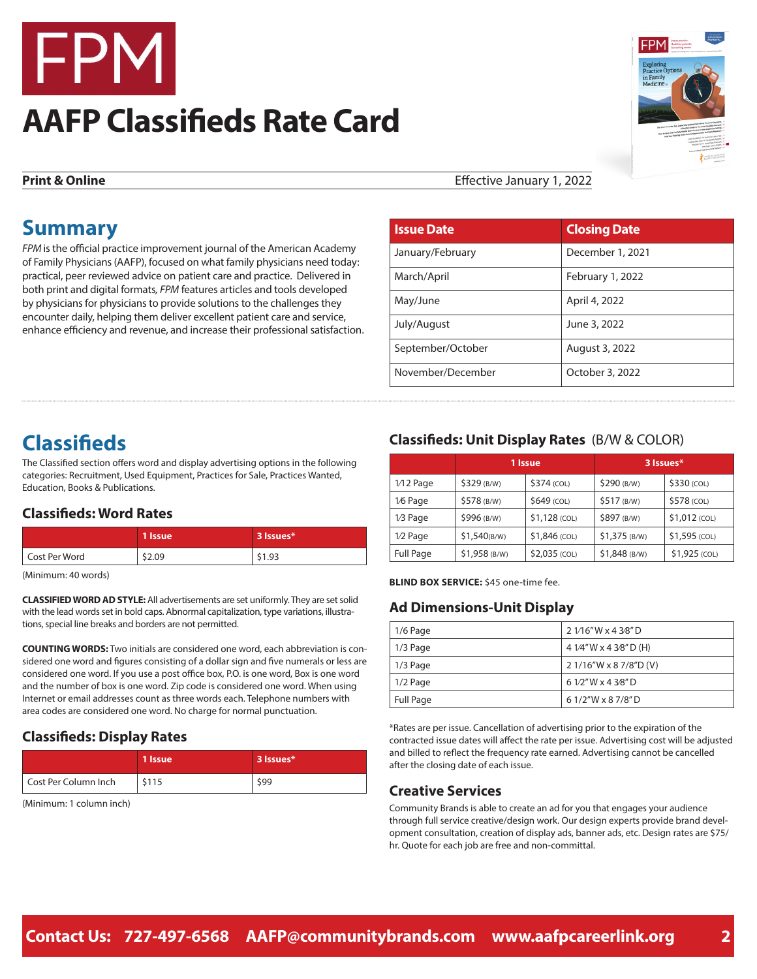

# **AAFP Classifieds Rate Card**



**Print & Online** Effective January 1, 2022

# **Summary**

*FPM* is the official practice improvement journal of the American Academy of Family Physicians (AAFP), focused on what family physicians need today: practical, peer reviewed advice on patient care and practice. Delivered in both print and digital formats*, FPM* features articles and tools developed by physicians for physicians to provide solutions to the challenges they encounter daily, helping them deliver excellent patient care and service, enhance efficiency and revenue, and increase their professional satisfaction.

| <b>Issue Date</b> | <b>Closing Date</b> |
|-------------------|---------------------|
| January/February  | December 1, 2021    |
| March/April       | February 1, 2022    |
| May/June          | April 4, 2022       |
| July/August       | June 3, 2022        |
| September/October | August 3, 2022      |
| November/December | October 3, 2022     |

# **Classifieds**

The Classified section offers word and display advertising options in the following categories: Recruitment, Used Equipment, Practices for Sale, Practices Wanted, Education, Books & Publications.

#### **Classifieds: Word Rates**

|               | 1 Issue | 3 Issues* |
|---------------|---------|-----------|
| Cost Per Word | \$2.09  | \$1.93    |

(Minimum: 40 words)

**CLASSIFIED WORD AD STYLE:** All advertisements are set uniformly. They are set solid with the lead words set in bold caps. Abnormal capitalization, type variations, illustrations, special line breaks and borders are not permitted.

**COUNTING WORDS:** Two initials are considered one word, each abbreviation is considered one word and figures consisting of a dollar sign and five numerals or less are considered one word. If you use a post office box, P.O. is one word, Box is one word and the number of box is one word. Zip code is considered one word. When using Internet or email addresses count as three words each. Telephone numbers with area codes are considered one word. No charge for normal punctuation.

#### **Classifieds: Display Rates**

|                      | 1 Issue | 3 Issues* |
|----------------------|---------|-----------|
| Cost Per Column Inch | \$115   | \$99      |

(Minimum: 1 column inch)

#### **Classifieds: Unit Display Rates** (B/W & COLOR)

|             | 1 Issue       |                | 3 Issues*      |               |
|-------------|---------------|----------------|----------------|---------------|
| $1/12$ Page | \$329 (B/W)   | \$374 (COL)    | \$290 (B/W)    | \$330 (COL)   |
| 1/6 Page    | \$578 (B/W)   | \$649 (COL)    | \$517 (B/W)    | \$578 (COL)   |
| 1/3 Page    | \$996 (B/W)   | $$1,128$ (COL) | \$897 (B/W)    | \$1,012 (COL) |
| 1/2 Page    | \$1,540(B/W)  | \$1,846 (COL)  | $$1,375$ (B/W) | \$1,595 (COL) |
| Full Page   | \$1,958 (B/W) | \$2,035 (COL)  | \$1,848 (B/W)  | \$1,925 (COL) |

**BLIND BOX SERVICE:** \$45 one-time fee.

#### **Ad Dimensions-Unit Display**

| 1/6 Page  | 2 1/16"W x 4 3/8"D     |
|-----------|------------------------|
| 1/3 Page  | 4 1/4"W x 4 3/8"D (H)  |
| 1/3 Page  | 2 1/16"W x 8 7/8"D (V) |
| 1/2 Page  | 6 1/2"W x 4 3/8"D      |
| Full Page | 61/2"W x 87/8"D        |

\*Rates are per issue. Cancellation of advertising prior to the expiration of the contracted issue dates will affect the rate per issue. Advertising cost will be adjusted and billed to reflect the frequency rate earned. Advertising cannot be cancelled after the closing date of each issue.

#### **Creative Services**

Community Brands is able to create an ad for you that engages your audience through full service creative/design work. Our design experts provide brand development consultation, creation of display ads, banner ads, etc. Design rates are \$75/ hr. Quote for each job are free and non-committal.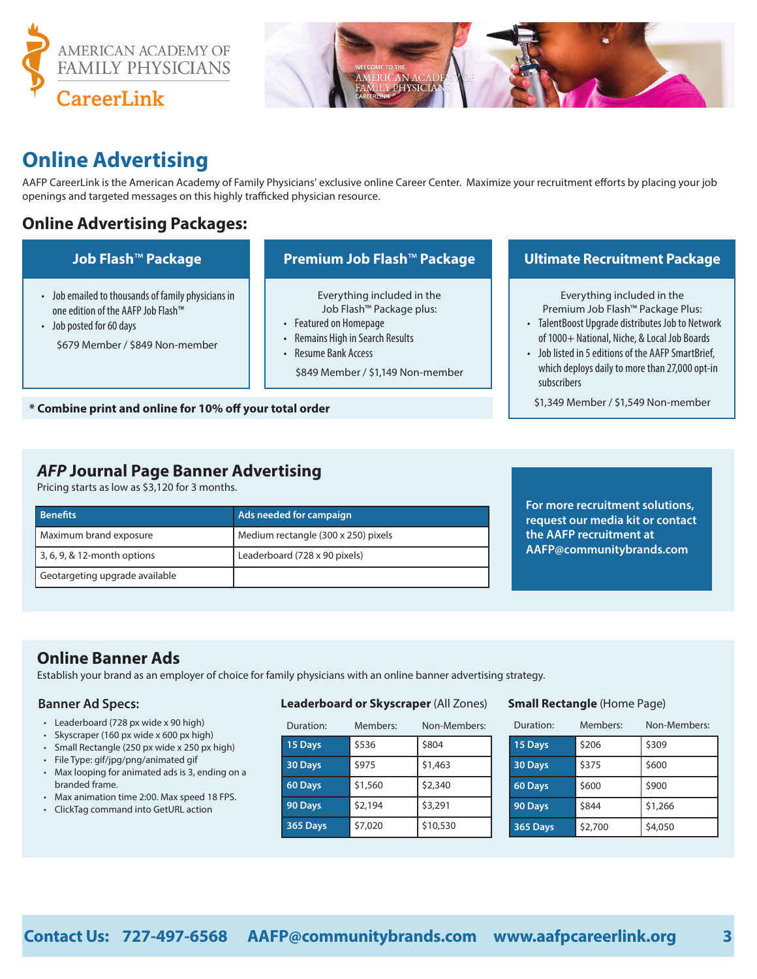



# **Online Advertising**

AAFP CareerLink is the American Academy of Family Physicians' exclusive online Career Center. Maximize your recruitment efforts by placing your job openings and targeted messages on this highly trafficked physician resource.

## **Online Advertising Packages:**

- Job emailed to thousands of family physicians in one edition of the AAFP Job Flash™
- Job posted for 60 days \$679 Member / \$849 Non-member

Everything included in the Job Flash™ Package plus:

• Featured on Homepage

- Remains High in Search Results
- Resume Bank Access

\$849 Member / \$1,149 Non-member

#### **Job Flash**™ **Package Premium Job Flash**™ **Package Ultimate Recruitment Package**

Everything included in the Premium Job Flash™ Package Plus:

- TalentBoost Upgrade distributes Job to Network of 1000+ National, Niche, & Local Job Boards
- Job listed in 5 editions of the AAFP SmartBrief, which deploys daily to more than 27,000 opt-in subscribers

\$1,349 Member / \$1,549 Non-member

# **\* Combine print and online for 10% off your total order**

### *AFP* **Journal Page Banner Advertising**

Pricing starts as low as \$3,120 for 3 months.

| l Benefits                     | Ads needed for campaign             |
|--------------------------------|-------------------------------------|
| Maximum brand exposure         | Medium rectangle (300 x 250) pixels |
| 3, 6, 9, & 12-month options    | Leaderboard (728 x 90 pixels)       |
| Geotargeting upgrade available |                                     |

**For more recruitment solutions, request our media kit or contact the AAFP recruitment at AAFP@communitybrands.com**

## **Online Banner Ads**

Establish your brand as an employer of choice for family physicians with an online banner advertising strategy.

#### **Banner Ad Specs:**

- Leaderboard (728 px wide x 90 high)
- Skyscraper (160 px wide x 600 px high)
- Small Rectangle (250 px wide x 250 px high)
- File Type: gif/jpg/png/animated gif
- Max looping for animated ads is 3, ending on a branded frame.
- Max animation time 2:00. Max speed 18 FPS.
- ClickTag command into GetURL action

#### **Leaderboard or Skyscraper** (All Zones)

| Duration: | Members: | Non-Members: |
|-----------|----------|--------------|
| 15 Days   | \$536    | \$804        |
| 30 Days   | \$975    | \$1,463      |
| 60 Days   | \$1,560  | \$2,340      |
| 90 Days   | \$2,194  | \$3,291      |
| 365 Days  | \$7,020  | \$10,530     |

#### **Small Rectangle** (Home Page)

| Duration: | Members: | Non-Members: |
|-----------|----------|--------------|
| 15 Days   | \$206    | \$309        |
| 30 Days   | \$375    | \$600        |
| 60 Days   | \$600    | \$900        |
| 90 Days   | \$844    | \$1,266      |
| 365 Days  | \$2,700  | \$4,050      |